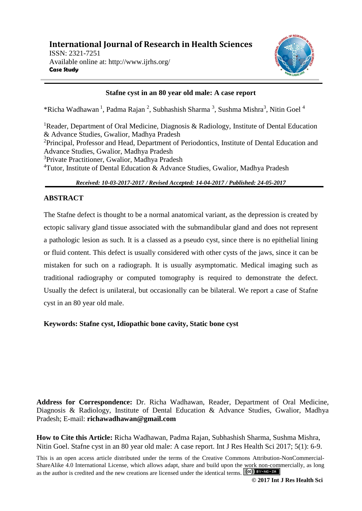

# **Stafne cyst in an 80 year old male: A case report**

\*Richa Wadhawan<sup>1</sup>, Padma Rajan<sup>2</sup>, Subhashish Sharma<sup>3</sup>, Sushma Mishra<sup>3</sup>, Nitin Goel<sup>4</sup>

<sup>1</sup>Reader, Department of Oral Medicine, Diagnosis & Radiology, Institute of Dental Education & Advance Studies, Gwalior, Madhya Pradesh <sup>2</sup>Principal, Professor and Head, Department of Periodontics, Institute of Dental Education and Advance Studies, Gwalior, Madhya Pradesh <sup>3</sup>Private Practitioner, Gwalior, Madhya Pradesh <sup>4</sup>Tutor, Institute of Dental Education & Advance Studies, Gwalior, Madhya Pradesh

*Received: 10-03-2017-2017 / Revised Accepted: 14-04-2017 / Published: 24-05-2017*

# **ABSTRACT**

The Stafne defect is thought to be a normal anatomical variant, as the depression is created by ectopic salivary gland tissue associated with the submandibular gland and does not represent a pathologic lesion as such. It is a classed as a pseudo cyst, since there is no epithelial lining or fluid content. This defect is usually considered with other cysts of the jaws, since it can be mistaken for such on a radiograph. It is usually asymptomatic. Medical imaging such as traditional radiography or computed tomography is required to demonstrate the defect. Usually the defect is unilateral, but occasionally can be bilateral. We report a case of Stafne cyst in an 80 year old male.

**Keywords: Stafne cyst, Idiopathic bone cavity, Static bone cyst**

**Address for Correspondence:** Dr. Richa Wadhawan, Reader, Department of Oral Medicine, Diagnosis & Radiology, Institute of Dental Education & Advance Studies, Gwalior, Madhya Pradesh; E-mail: **richawadhawan@gmail.com**

**How to Cite this Article:** Richa Wadhawan, Padma Rajan, Subhashish Sharma, Sushma Mishra, Nitin Goel. Stafne cyst in an 80 year old male: A case report. Int J Res Health Sci 2017; 5(1): 6-9.

This is an open access article distributed under the terms of the Creative Commons Attribution-NonCommercial-ShareAlike 4.0 International License, which allows adapt, share and build upon the work non-commercially, as long as the author is credited and the new creations are licensed under the identical terms.  $\left[\alpha c\right]$  BY-NG-SA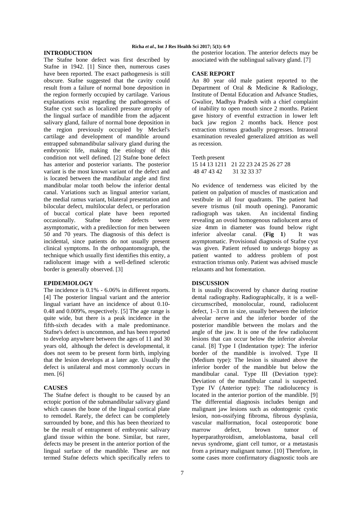# **Richa** *et al***., Int J Res Health Sci 2017; 5(1): 6-9**

# **INTRODUCTION**

The Stafne bone defect was first described by Stafne in 1942. [1] Since then, numerous cases have been reported. The exact pathogenesis is still obscure. Stafne suggested that the cavity could result from a failure of normal bone deposition in the region formerly occupied by cartilage. Various explanations exist regarding the pathogenesis of Stafne cyst such as localized pressure atrophy of the lingual surface of mandible from the adjacent salivary gland, failure of normal bone deposition in the region previously occupied by Meckel's cartilage and development of mandible around entrapped submandibular salivary gland during the embryonic life, making the etiology of this condition not well defined. [2] Stafne bone defect has anterior and posterior variants. The posterior variant is the most known variant of the defect and is located between the mandibular angle and first mandibular molar tooth below the inferior dental canal. Variations such as lingual anterior variant, the medial ramus variant, bilateral presentation and bilocular defect, multilocular defect, or perforation of buccal cortical plate have been reported occasionally. Stafne bone defects were asymptomatic, with a predilection for men between 50 and 70 years. The diagnosis of this defect is incidental, since patients do not usually present clinical symptoms. In the orthopantomograph, the technique which usually first identifies this entity, a radiolucent image with a well-defined sclerotic border is generally observed. [3]

## **EPIDEMIOLOGY**

The incidence is 0.1% - 6.06% in different reports. [4] The posterior lingual variant and the anterior lingual variant have an incidence of about 0.10- 0.48 and 0.009%, respectively. [5] The age range is quite wide, but there is a peak incidence in the fifth-sixth decades with a male predominance. Stafne's defect is uncommon, and has been reported to develop anywhere between the ages of 11 and 30 years old, although the defect is developmental, it does not seem to be present form birth, implying that the lesion develops at a later age. Usually the defect is unilateral and most commonly occurs in men. [6]

# **CAUSES**

The Stafne defect is thought to be caused by an ectopic portion of the submandibular salivary gland which causes the bone of the lingual cortical plate to remodel. Rarely, the defect can be completely surrounded by bone, and this has been theorized to be the result of entrapment of embryonic salivary gland tissue within the bone. Similar, but rarer, defects may be present in the anterior portion of the lingual surface of the mandible. These are not termed Stafne defects which specifically refers to

the posterior location. The anterior defects may be associated with the sublingual salivary gland. [7]

## **CASE REPORT**

An 80 year old male patient reported to the Department of Oral & Medicine & Radiology, Institute of Dental Education and Advance Studies, Gwalior, Madhya Pradesh with a chief complaint of inability to open mouth since 2 months. Patient gave history of eventful extraction in lower left back jaw region 2 months back. Hence post extraction trismus gradually progresses. Intraoral examination revealed generalized attrition as well as recession.

#### Teeth present

15 14 13 1211 21 22 23 24 25 26 27 28 48 47 43 42 31 32 33 37

No evidence of tenderness was elicited by the patient on palpation of muscles of mastication and vestibule in all four quadrants. The patient had severe trismus (nil mouth opening). Panoramic radiograph was taken. An incidental finding revealing an ovoid homogenous radiolucent area of size 4mm in diameter was found below right inferior alveolar canal. (**Fig 1**) It was asymptomatic. Provisional diagnosis of Stafne cyst was given. Patient refused to undergo biopsy as patient wanted to address problem of post extraction trismus only. Patient was advised muscle relaxants and hot fomentation.

# **DISCUSSION**

It is usually discovered by chance during routine dental radiography. Radiographically, it is a wellcircumscribed, monolocular, round, radiolucent defect, 1–3 cm in size, usually between the inferior alveolar nerve and the inferior border of the posterior mandible between the molars and the angle of the jaw. It is one of the few radiolucent lesions that can occur below the inferior alveolar canal. [8] Type I (Indentation type): The inferior border of the mandible is involved. Type II (Medium type): The lesion is situated above the inferior border of the mandible but below the mandibular canal. Type III (Deviation type): Deviation of the mandibular canal is suspected. Type IV (Anterior type): The radiolucency is located in the anterior portion of the mandible. [9] The differential diagnosis includes benign and malignant jaw lesions such as odontogenic cystic lesion, non-ossifying fibroma, fibrous dysplasia, vascular malformation, focal osteoporotic bone marrow defect, brown tumor of hyperparathyroidism, ameloblastoma, basal cell nevus syndrome, giant cell tumor, or a metastasis from a primary malignant tumor. [10] Therefore, in some cases more confirmatory diagnostic tools are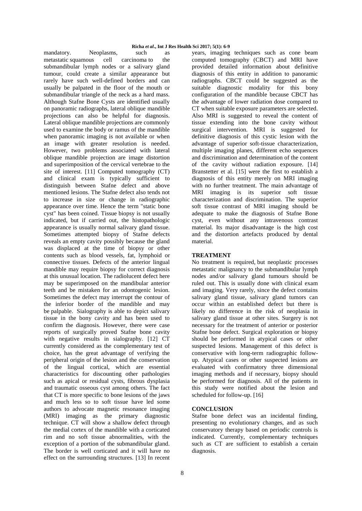## **Richa** *et al***., Int J Res Health Sci 2017; 5(1): 6-9**

mandatory. Neoplasms, such as metastatic squamous cell carcinoma to the submandibular lymph nodes or a salivary gland tumour, could create a similar appearance but rarely have such well-defined borders and can usually be palpated in the floor of the mouth or submandibular triangle of the neck as a hard mass. Although Stafne Bone Cysts are identified usually on panoramic radiographs, lateral oblique mandible projections can also be helpful for diagnosis. Lateral oblique mandible projections are commonly used to examine the body or ramus of the mandible when panoramic imaging is not available or when an image with greater resolution is needed. However, two problems associated with lateral oblique mandible projection are image distortion and superimposition of the cervical vertebrae to the site of interest. [11] Computed tomography (CT) and clinical exam is typically sufficient to distinguish between Stafne defect and above mentioned lesions. The Stafne defect also tends not to increase in size or change in radiographic appearance over time. Hence the term "static bone cyst" has been coined. Tissue biopsy is not usually indicated, but if carried out, the histopathologic appearance is usually normal salivary gland tissue. Sometimes attempted biopsy of Stafne defects reveals an empty cavity possibly because the gland was displaced at the time of biopsy or other contents such as blood vessels, fat, lymphoid or connective tissues. Defects of the anterior lingual mandible may require biopsy for correct diagnosis at this unusual location. The radiolucent defect here may be superimposed on the mandibular anterior teeth and be mistaken for an odontogenic lesion. Sometimes the defect may interrupt the contour of the inferior border of the mandible and may be palpable. Sialography is able to depict salivary tissue in the bony cavity and has been used to confirm the diagnosis. However, there were case reports of surgically proved Stafne bone cavity with negative results in sialography. [12] CT currently considered as the complementary test of choice, has the great advantage of verifying the peripheral origin of the lesion and the conservation of the lingual cortical, which are essential characteristics for discounting other pathologies such as apical or residual cysts, fibrous dysplasia and traumatic osseous cyst among others. The fact that CT is more specific to bone lesions of the jaws and much less so to soft tissue have led some authors to advocate magnetic resonance imaging (MRI) imaging as the primary diagnostic technique. CT will show a shallow defect through the medial cortex of the mandible with a corticated rim and no soft tissue abnormalities, with the exception of a portion of the submandibular gland. The border is well corticated and it will have no effect on the surrounding structures. [13] In recent

years, imaging techniques such as cone beam computed tomography (CBCT) and MRI have provided detailed information about definitive diagnosis of this entity in addition to panoramic radiographs. CBCT could be suggested as the suitable diagnostic modality for this bony configuration of the mandible because CBCT has the advantage of lower radiation dose compared to CT when suitable exposure parameters are selected. Also MRI is suggested to reveal the content of tissue extending into the bone cavity without surgical intervention. MRI is suggested for definitive diagnosis of this cystic lesion with the advantage of superior soft-tissue characterization, multiple imaging planes, different echo sequences and discrimination and determination of the content of the cavity without radiation exposure. [14] Branstetter et al. [15] were the first to establish a diagnosis of this entity merely on MRI imaging with no further treatment. The main advantage of MRI imaging is its superior soft tissue characterization and discrimination. The superior soft tissue contrast of MRI imaging should be adequate to make the diagnosis of Stafne Bone cyst, even without any intravenous contrast material. Its major disadvantage is the high cost and the distortion artefacts produced by dental material.

## **TREATMENT**

No treatment is required, but neoplastic processes metastatic malignancy to the submandibular lymph nodes and/or salivary gland tumours should be ruled out. This is usually done with clinical exam and imaging. Very rarely, since the defect contains salivary gland tissue, salivary gland tumors can occur within an established defect but there is likely no difference in the risk of neoplasia in salivary gland tissue at other sites. Surgery is not necessary for the treatment of anterior or posterior Stafne bone defect. Surgical exploration or biopsy should be performed in atypical cases or other suspected lesions. Management of this defect is conservative with long-term radiographic followup. Atypical cases or other suspected lesions are evaluated with confirmatory three dimensional imaging methods and if necessary, biopsy should be performed for diagnosis. All of the patients in this study were notified about the lesion and scheduled for follow-up. [16]

# **CONCLUSION**

Stafne bone defect was an incidental finding, presenting no evolutionary changes, and as such conservatory therapy based on periodic controls is indicated. Currently, complementary techniques such as CT are sufficient to establish a certain diagnosis.